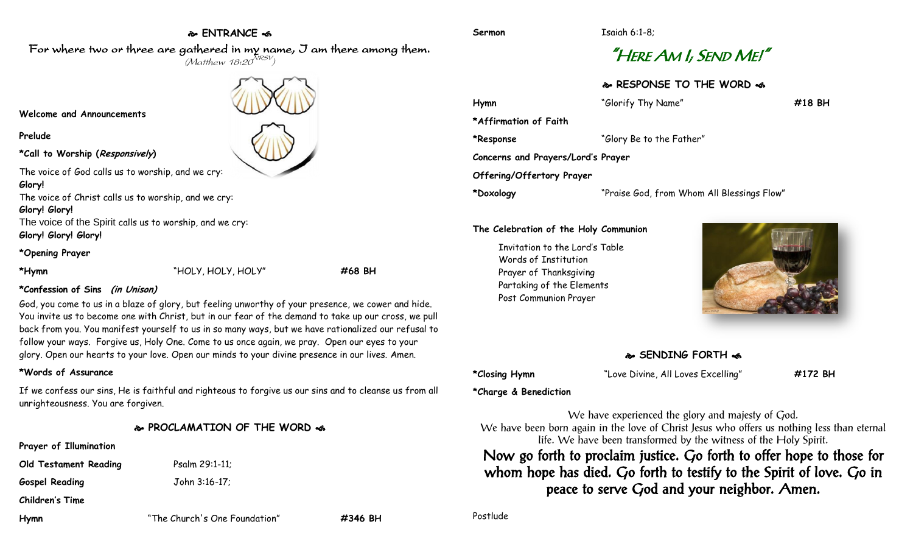### **ENTRANCE**

# "HERE AM I; SEND ME!"

**RESPONSE TO THE WORD** 

| "Glorify Thy Name"                         | #18 BH |
|--------------------------------------------|--------|
|                                            |        |
| "Glory Be to the Father"                   |        |
| Concerns and Prayers/Lord's Prayer         |        |
|                                            |        |
| "Praise God, from Whom All Blessings Flow" |        |
|                                            |        |

**The Celebration of the Holy Communion**

Invitation to the Lord's Table Words of Institution Prayer of Thanksgiving Partaking of the Elements Post Communion Prayer



#### **SENDING FORTH**

**\*Closing Hymn** "Love Divine, All Loves Excelling" **#172 BH**

**\*Charge & Benediction**

We have experienced the glory and majesty of God. We have been born again in the love of Christ Jesus who offers us nothing less than eternal life. We have been transformed by the witness of the Holy Spirit.

Now go forth to proclaim justice. Go forth to offer hope to those for whom hope has died. Go forth to testify to the Spirit of love. Go in peace to serve God and your neighbor. Amen.

Postlude

For where two or three are gathered in my name, I am there among them.  $(M$ atthew 18:20 $^{NRSV})$ **Welcome and Announcements Prelude \*Call to Worship (Responsively)** 

The voice of God calls us to worship, and we cry: **Glory!**

The voice of Christ calls us to worship, and we cry:

#### **Glory! Glory!**

The voice of the Spirit calls us to worship, and we cry: **Glory! Glory! Glory!**

#### **\*Opening Prayer**

**\*Hymn** "HOLY, HOLY, HOLY" **#68 BH**

### **\*Confession of Sins (in Unison)**

God, you come to us in a blaze of glory, but feeling unworthy of your presence, we cower and hide. You invite us to become one with Christ, but in our fear of the demand to take up our cross, we pull back from you. You manifest yourself to us in so many ways, but we have rationalized our refusal to follow your ways. Forgive us, Holy One. Come to us once again, we pray. Open our eyes to your glory. Open our hearts to your love. Open our minds to your divine presence in our lives. Amen.

## **\*Words of Assurance**

If we confess our sins, He is faithful and righteous to forgive us our sins and to cleanse us from all unrighteousness. You are forgiven.

### **PROCLAMATION OF THE WORD**

**Prayer of Illumination**

**Old Testament Reading** Psalm 29:1-11;

**Gospel Reading** John 3:16-17;

**Children's Time**

**Hymn** "The Church's One Foundation" **#346 BH**